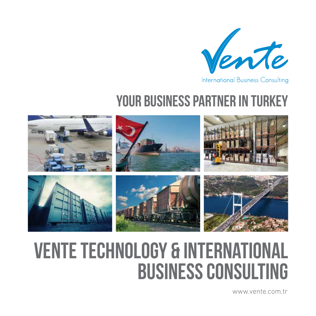

## YOUR BUSINESS PARTNER IN TURKEY



# VENTE TECHNOLOGY & INTERNATIONAL BUSINESS CONSULTING

www.vente.com.tr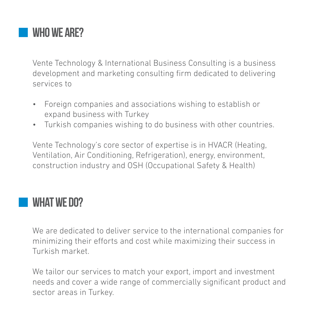

Vente Technology & International Business Consulting is a business development and marketing consulting firm dedicated to delivering services to

- • Foreign companies and associations wishing to establish or expand business with Turkey
- • Turkish companies wishing to do business with other countries.

Vente Technology's core sector of expertise is in HVACR (Heating, Ventilation, Air Conditioning, Refrigeration), energy, environment, construction industry and OSH (Occupational Safety & Health)

#### **WHAT WE DO?**

We are dedicated to deliver service to the international companies for minimizing their efforts and cost while maximizing their success in Turkish market.

We tailor our services to match your export, import and investment needs and cover a wide range of commercially significant product and sector areas in Turkey.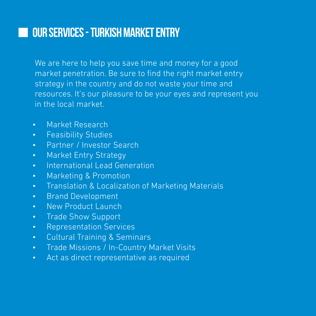### our services - Turkish market entry

We are here to help you save time and money for a good market penetration. Be sure to find the right market entry strategy in the country and do not waste your time and resources. It's our pleasure to be your eyes and represent you in the local market.

- • Market Research
- • Feasibility Studies
- • Partner / Investor Search
- Market Entry Strategy
- International Lead Generation
- • Marketing & Promotion
- Translation & Localization of Marketing Materials
- • Brand Development
- New Product Launch
- • Trade Show Support
- • Representation Services
- • Cultural Training & Seminars
- • Trade Missions / In-Country Market Visits
- • Act as direct representative as required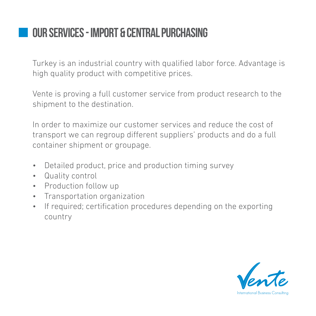## Our services - import & central purchasing

Turkey is an industrial country with qualified labor force. Advantage is high quality product with competitive prices.

Vente is proving a full customer service from product research to the shipment to the destination.

In order to maximize our customer services and reduce the cost of transport we can regroup different suppliers' products and do a full container shipment or groupage.

- • Detailed product, price and production timing survey
- • Quality control
- Production follow up
- • Transportation organization
- If required; certification procedures depending on the exporting country

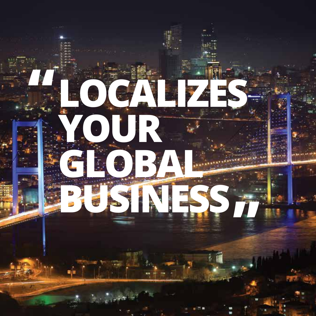